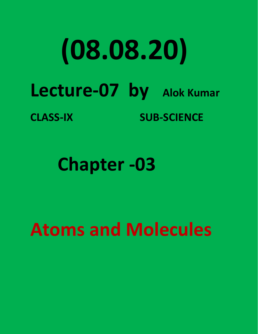## **(08.08.20) Lecture-07 by Alok Kumar CLASS-IX SUB-SCIENCE**

**Chapter -03**

## **Atoms and Molecules**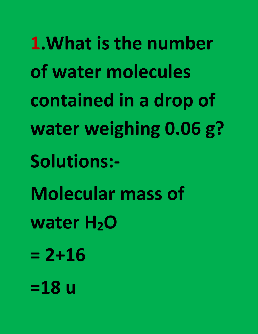**1.What is the number of water molecules contained in a drop of water weighing 0.06 g? Solutions:- Molecular mass of water H2O = 2+16 =18 u**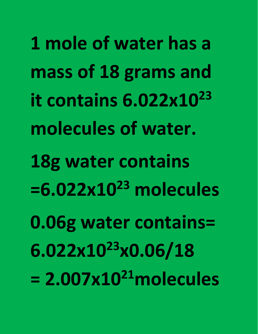**1 mole of water has a mass of 18 grams and it contains 6.022x10 23 molecules of water. 18g water contains =6.022x10 <sup>23</sup> molecules 0.06g water contains= 6.022x10 <sup>23</sup>x0.06/18 = 2.007x10 21molecules**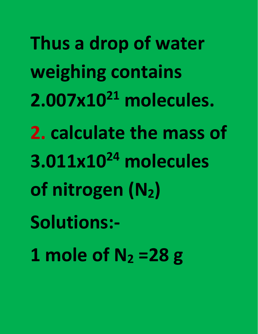**Thus a drop of water weighing contains 2.007x10<sup>21</sup> molecules. 2. calculate the mass of 3.011x10 <sup>24</sup> molecules of nitrogen (N2) Solutions:- 1 mole of N<sup>2</sup> =28 g**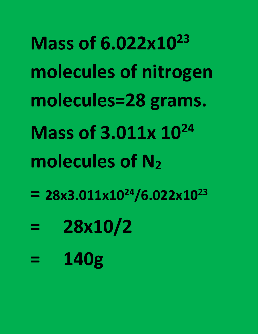**Mass of 6.022x10 23 molecules of nitrogen molecules=28 grams. Mass of 3.011x 10 24 molecules of N<sup>2</sup>**  $= 28x3.011x10^{24}/6.022x10^{23}$ **23 = 28x10/2**

**= 140g**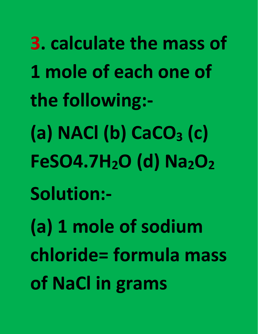**3. calculate the mass of 1 mole of each one of the following:- (a) NACl (b) CaCO<sup>3</sup> (c) FeSO4.7H2O (d) Na2O<sup>2</sup> Solution:- (a) 1 mole of sodium chloride= formula mass of NaCl in grams**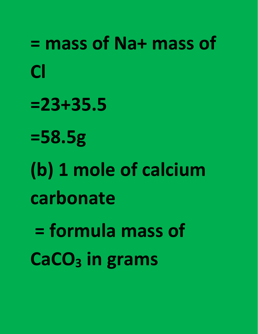**= mass of Na+ mass of Cl Cl Cl Cl Cl =23+35.5 =58.5g (b) 1 mole of calcium carbonate = formula mass of CaCO<sup>3</sup> in grams**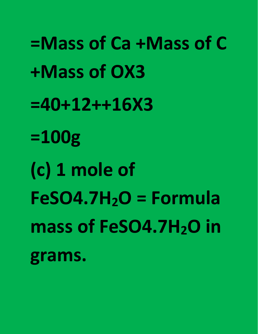**=Mass of Ca +Mass of C +Mass of OX3 =40+12++16X3 =100g (c) 1 mole of FeSO4.7H2O = Formula mass of FeSO4.7H2O in grams.**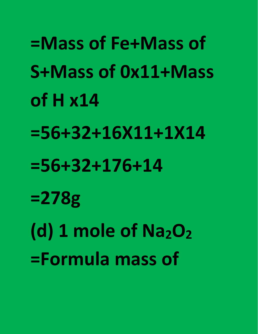**=Mass of Fe+Mass of S+Mass of 0x11+Mass of H x14 =56+32+16X11+1X14 =56+32+176+14 =278g (d) 1 mole of Na2O<sup>2</sup> =Formula mass of**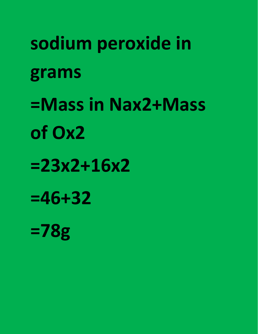**sodium peroxide in grams =Mass in Nax2+Mass of Ox2 =23x2+16x2 =46+32 =78g**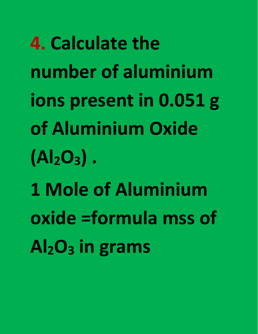**4. Calculate the number of aluminium ions present in 0.051 g of Aluminium Oxide (Al2O3) . 1 Mole of Aluminium oxide =formula mss of Al2O<sup>3</sup> in grams**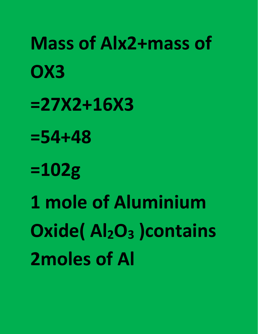**Mass of Alx2+mass of OX3** *COX3* **=27X2+16X3 =54+48 =102g 1 mole of Aluminium Oxide( Al2O<sup>3</sup> )contains 2moles of Al**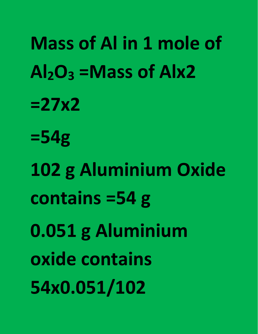**Mass of Al in 1 mole of**  $Al_2O_3$  =Mass of Alx2 **=27x2 =54g 102 g Aluminium Oxide contains =54 g 0.051 g Aluminium oxide contains 54x0.051/102**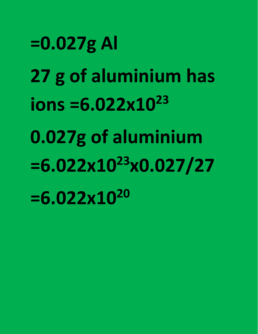**=0.027g Al 27 g of aluminium has ions =6.022x10 23 0.027g of aluminium =6.022x10 <sup>23</sup>x0.027/27 =6.022x10 20**